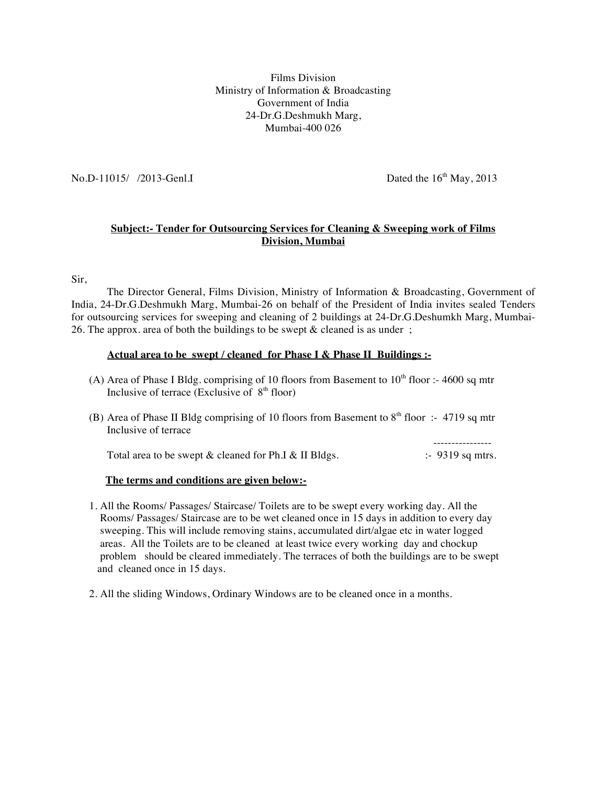Films Division Ministry of Information & Broadcasting Government of India 24-Dr.G.Deshmukh Marg, Mumbai-400 026

No.D-11015/ /2013-Genl.I Dated the 16<sup>th</sup> May, 2013

----------------

## **Subject:- Tender for Outsourcing Services for Cleaning & Sweeping work of Films Division, Mumbai**

Sir,

The Director General, Films Division, Ministry of Information & Broadcasting, Government of India, 24-Dr.G.Deshmukh Marg, Mumbai-26 on behalf of the President of India invites sealed Tenders for outsourcing services for sweeping and cleaning of 2 buildings at 24-Dr.G.Deshumkh Marg, Mumbai-26. The approx. area of both the buildings to be swept  $\&$  cleaned is as under;

## **Actual area to be swept / cleaned for Phase I & Phase II Buildings :-**

- (A) Area of Phase I Bldg. comprising of 10 floors from Basement to  $10<sup>th</sup>$  floor :- 4600 sq mtr Inclusive of terrace (Exclusive of  $8<sup>th</sup>$  floor)
- (B) Area of Phase II Bldg comprising of 10 floors from Basement to  $8<sup>th</sup>$  floor :- 4719 sq mtr Inclusive of terrace

Total area to be swept  $\&$  cleaned for Ph.I  $\&$  II Bldgs.  $\qquad \qquad$  :-9319 sq mtrs.

## **The terms and conditions are given below:-**

- 1. All the Rooms/ Passages/ Staircase/ Toilets are to be swept every working day. All the Rooms/ Passages/ Staircase are to be wet cleaned once in 15 days in addition to every day sweeping. This will include removing stains, accumulated dirt/algae etc in water logged areas. All the Toilets are to be cleaned at least twice every working day and chockup problem should be cleared immediately. The terraces of both the buildings are to be swept and cleaned once in 15 days.
- 2. All the sliding Windows, Ordinary Windows are to be cleaned once in a months.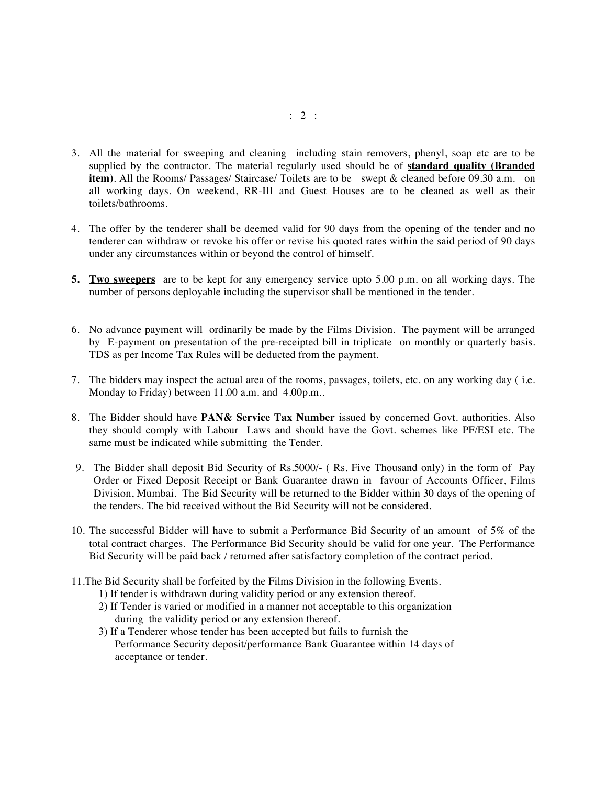- 3. All the material for sweeping and cleaning including stain removers, phenyl, soap etc are to be supplied by the contractor. The material regularly used should be of **standard quality (Branded item)**. All the Rooms/ Passages/ Staircase/ Toilets are to be swept & cleaned before 09.30 a.m. on all working days. On weekend, RR-III and Guest Houses are to be cleaned as well as their toilets/bathrooms.
- 4. The offer by the tenderer shall be deemed valid for 90 days from the opening of the tender and no tenderer can withdraw or revoke his offer or revise his quoted rates within the said period of 90 days under any circumstances within or beyond the control of himself.
- **5. Two sweepers** are to be kept for any emergency service upto 5.00 p.m. on all working days. The number of persons deployable including the supervisor shall be mentioned in the tender.
- 6. No advance payment will ordinarily be made by the Films Division. The payment will be arranged by E-payment on presentation of the pre-receipted bill in triplicate on monthly or quarterly basis. TDS as per Income Tax Rules will be deducted from the payment.
- 7. The bidders may inspect the actual area of the rooms, passages, toilets, etc. on any working day ( i.e. Monday to Friday) between 11.00 a.m. and 4.00p.m..
- 8. The Bidder should have **PAN& Service Tax Number** issued by concerned Govt. authorities. Also they should comply with Labour Laws and should have the Govt. schemes like PF/ESI etc. The same must be indicated while submitting the Tender.
- 9. The Bidder shall deposit Bid Security of Rs.5000/- ( Rs. Five Thousand only) in the form of Pay Order or Fixed Deposit Receipt or Bank Guarantee drawn in favour of Accounts Officer, Films Division, Mumbai. The Bid Security will be returned to the Bidder within 30 days of the opening of the tenders. The bid received without the Bid Security will not be considered.
- 10. The successful Bidder will have to submit a Performance Bid Security of an amount of 5% of the total contract charges. The Performance Bid Security should be valid for one year. The Performance Bid Security will be paid back / returned after satisfactory completion of the contract period.
- 11.The Bid Security shall be forfeited by the Films Division in the following Events.
	- 1) If tender is withdrawn during validity period or any extension thereof.
	- 2) If Tender is varied or modified in a manner not acceptable to this organization during the validity period or any extension thereof.
	- 3) If a Tenderer whose tender has been accepted but fails to furnish the Performance Security deposit/performance Bank Guarantee within 14 days of acceptance or tender.